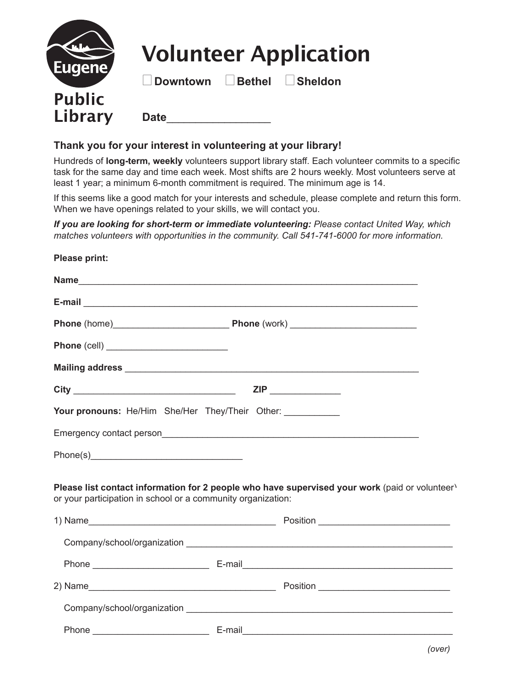| <b>Eugene</b>            | <b>Volunteer Application</b> |  |  |
|--------------------------|------------------------------|--|--|
|                          | Downtown Bethel<br>Sheldon   |  |  |
| <b>Public</b><br>Library | <b>Date</b>                  |  |  |

## **Thank you for your interest in volunteering at your library!**

Hundreds of **long-term, weekly** volunteers support library staff. Each volunteer commits to a specific task for the same day and time each week. Most shifts are 2 hours weekly. Most volunteers serve at least 1 year; a minimum 6-month commitment is required. The minimum age is 14.

If this seems like a good match for your interests and schedule, please complete and return this form. When we have openings related to your skills, we will contact you.

*If you are looking for short-term or immediate volunteering: Please contact United Way, which matches volunteers with opportunities in the community. Call 541-741-6000 for more information.*

| <b>Please print:</b>                                                                                                                                                                                                           |        |  |
|--------------------------------------------------------------------------------------------------------------------------------------------------------------------------------------------------------------------------------|--------|--|
|                                                                                                                                                                                                                                |        |  |
|                                                                                                                                                                                                                                |        |  |
|                                                                                                                                                                                                                                |        |  |
|                                                                                                                                                                                                                                |        |  |
|                                                                                                                                                                                                                                |        |  |
|                                                                                                                                                                                                                                |        |  |
| Your pronouns: He/Him She/Her They/Their Other: ___________                                                                                                                                                                    |        |  |
|                                                                                                                                                                                                                                |        |  |
|                                                                                                                                                                                                                                |        |  |
| Please list contact information for 2 people who have supervised your work (paid or volunteer)<br>or your participation in school or a community organization:                                                                 |        |  |
| 1) Name Position Position 2014 10:00:00 Position 2014 10:00:00 Position 2014 10:00:00 Position 2014 10:00:00 Position 2014 10:00:00 Position 2014 10:00:00 Position 2014 10:00:00 Position 2014 10:00:00 Position 2014 10:00:0 |        |  |
|                                                                                                                                                                                                                                |        |  |
|                                                                                                                                                                                                                                |        |  |
|                                                                                                                                                                                                                                |        |  |
|                                                                                                                                                                                                                                |        |  |
| Phone                                                                                                                                                                                                                          | E-mail |  |